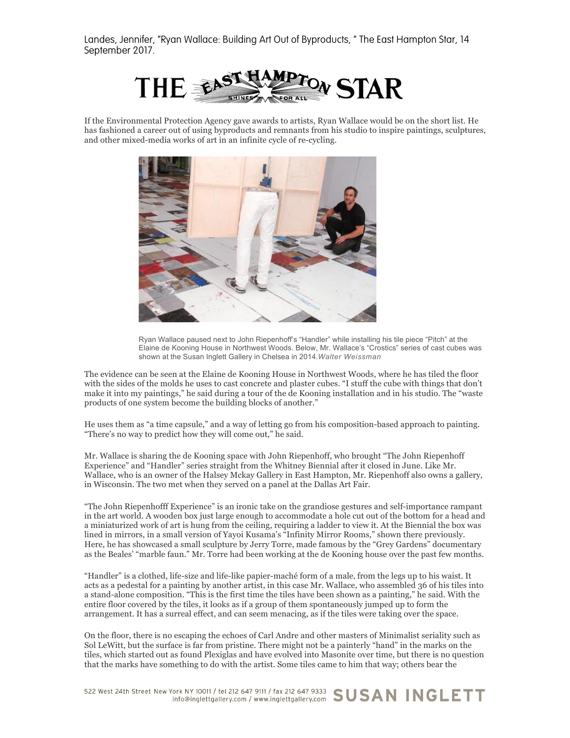Landes, Jennifer, "Ryan Wallace: Building Art Out of Byproducts, " The East Hampton Star, 14 September 2017.



If the Environmental Protection Agency gave awards to artists, Ryan Wallace would be on the short list. He has fashioned a career out of using byproducts and remnants from his studio to inspire paintings, sculptures, and other mixed-media works of art in an infinite cycle of re-cycling.



Ryan Wallace paused next to John Riepenhoff's "Handler" while installing his tile piece "Pitch" at the Elaine de Kooning House in Northwest Woods. Below, Mr. Wallace's "Crostics" series of cast cubes was shown at the Susan Inglett Gallery in Chelsea in 2014.*Walter Weissman*

The evidence can be seen at the Elaine de Kooning House in Northwest Woods, where he has tiled the floor with the sides of the molds he uses to cast concrete and plaster cubes. "I stuff the cube with things that don't make it into my paintings," he said during a tour of the de Kooning installation and in his studio. The "waste products of one system become the building blocks of another."

He uses them as "a time capsule," and a way of letting go from his composition-based approach to painting. "There's no way to predict how they will come out," he said.

Mr. Wallace is sharing the de Kooning space with John Riepenhoff, who brought "The John Riepenhoff Experience" and "Handler" series straight from the Whitney Biennial after it closed in June. Like Mr. Wallace, who is an owner of the Halsey Mckay Gallery in East Hampton, Mr. Riepenhoff also owns a gallery, in Wisconsin. The two met when they served on a panel at the Dallas Art Fair.

"The John Riepenhofff Experience" is an ironic take on the grandiose gestures and self-importance rampant in the art world. A wooden box just large enough to accommodate a hole cut out of the bottom for a head and a miniaturized work of art is hung from the ceiling, requiring a ladder to view it. At the Biennial the box was lined in mirrors, in a small version of Yayoi Kusama's "Infinity Mirror Rooms," shown there previously. Here, he has showcased a small sculpture by Jerry Torre, made famous by the "Grey Gardens" documentary as the Beales' "marble faun." Mr. Torre had been working at the de Kooning house over the past few months.

"Handler" is a clothed, life-size and life-like papier-maché form of a male' from the legs up to his waist. It acts as a pedestal for a painting by another artist, in this case Mr. Wallace, who assembled 36 of his tiles into a stand-alone composition. "This is the first time the tiles have been shown as a painting," he said. With the entire floor covered by the tiles, it looks as if a group of them spontaneously jumped up to form the arrangement. It has a surreal effect, and can seem menacing, as if the tiles were taking over the space.

On the floor, there is no escaping the echoes of Carl Andre and other masters of Minimalist seriality such as Sol LeWitt, but the surface is far from pristine. There might not be a painterly "hand" in the marks on the tiles, which started out as found Plexiglas and have evolved into Masonite over time, but there is no question that the marks have something to do with the artist. Some tiles came to him that way; others bear the